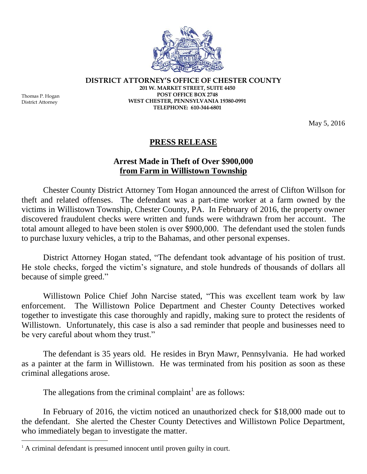

**DISTRICT ATTORNEY'S OFFICE OF CHESTER COUNTY**

Thomas P. Hogan District Attorney

 $\overline{a}$ 

**201 W. MARKET STREET, SUITE 4450 POST OFFICE BOX 2748 WEST CHESTER, PENNSYLVANIA 19380-0991 TELEPHONE: 610-344-6801**

May 5, 2016

## **PRESS RELEASE**

## **Arrest Made in Theft of Over \$900,000 from Farm in Willistown Township**

Chester County District Attorney Tom Hogan announced the arrest of Clifton Willson for theft and related offenses. The defendant was a part-time worker at a farm owned by the victims in Willistown Township, Chester County, PA. In February of 2016, the property owner discovered fraudulent checks were written and funds were withdrawn from her account. The total amount alleged to have been stolen is over \$900,000. The defendant used the stolen funds to purchase luxury vehicles, a trip to the Bahamas, and other personal expenses.

District Attorney Hogan stated, "The defendant took advantage of his position of trust. He stole checks, forged the victim's signature, and stole hundreds of thousands of dollars all because of simple greed."

Willistown Police Chief John Narcise stated, "This was excellent team work by law enforcement. The Willistown Police Department and Chester County Detectives worked together to investigate this case thoroughly and rapidly, making sure to protect the residents of Willistown. Unfortunately, this case is also a sad reminder that people and businesses need to be very careful about whom they trust."

The defendant is 35 years old. He resides in Bryn Mawr, Pennsylvania. He had worked as a painter at the farm in Willistown. He was terminated from his position as soon as these criminal allegations arose.

The allegations from the criminal complaint<sup>1</sup> are as follows:

In February of 2016, the victim noticed an unauthorized check for \$18,000 made out to the defendant. She alerted the Chester County Detectives and Willistown Police Department, who immediately began to investigate the matter.

<sup>&</sup>lt;sup>1</sup> A criminal defendant is presumed innocent until proven guilty in court.